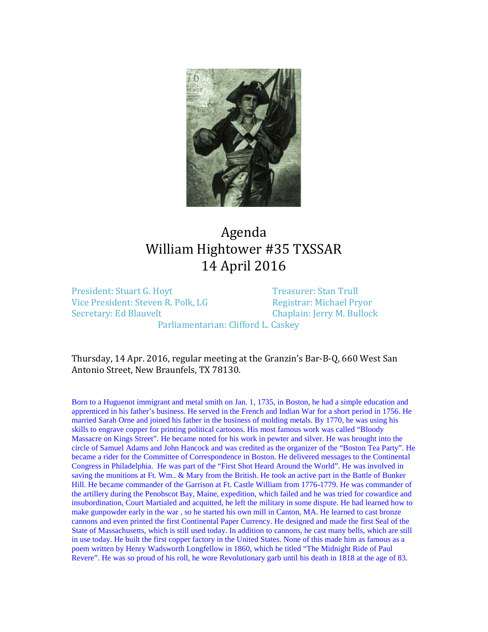

## Agenda William Hightower #35 TXSSAR 14 April 2016

President: Stuart G. Hoyt<br>
Vice President: Steven R. Polk, LG<br>
Vice President: Steven R. Polk, LG<br>
Registrar: Michael Pryor Vice President: Steven R. Polk, LG<br>Secretary: Ed Blauvelt

Chaplain: Jerry M. Bullock

Parliamentarian: Clifford L. Caskey

Thursday, 14 Apr. 2016, regular meeting at the Granzin's Bar-B-Q, 660 West San Antonio Street, New Braunfels, TX 78130.

Born to a Huguenot immigrant and metal smith on Jan. 1, 1735, in Boston, he had a simple education and apprenticed in his father's business. He served in the French and Indian War for a short period in 1756. He married Sarah Orne and joined his father in the business of molding metals. By 1770, he was using his skills to engrave copper for printing political cartoons. His most famous work was called "Bloody Massacre on Kings Street". He became noted for his work in pewter and silver. He was brought into the circle of Samuel Adams and John Hancock and was credited as the organizer of the "Boston Tea Party". He became a rider for the Committee of Correspondence in Boston. He delivered messages to the Continental Congress in Philadelphia. He was part of the "First Shot Heard Around the World". He was involved in saving the munitions at Ft. Wm.. & Mary from the British. He took an active part in the Battle of Bunker Hill. He became commander of the Garrison at Ft. Castle William from 1776-1779. He was commander of the artillery during the Penobscot Bay, Maine, expedition, which failed and he was tried for cowardice and insubordination, Court Martialed and acquitted, he left the military in some dispute. He had learned how to make gunpowder early in the war , so he started his own mill in Canton, MA. He learned to cast bronze cannons and even printed the first Continental Paper Currency. He designed and made the first Seal of the State of Massachusetts, which is still used today. In addition to cannons, he cast many bells, which are still in use today. He built the first copper factory in the United States. None of this made him as famous as a poem written by Henry Wadsworth Longfellow in 1860, which he titled "The Midnight Ride of Paul Revere". He was so proud of his roll, he wore Revolutionary garb until his death in 1818 at the age of 83.